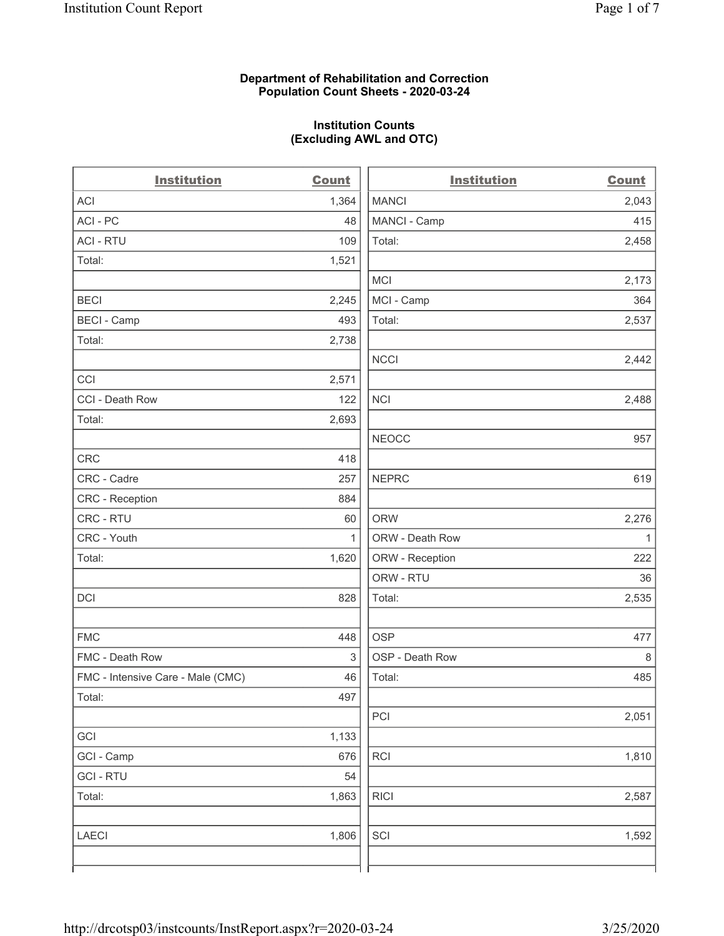### **Department of Rehabilitation and Correction Population Count Sheets - 2020-03-24**

# **Institution Counts (Excluding AWL and OTC)**

 $\overline{a}$ 

| <b>Institution</b>                | <b>Count</b> | <b>Institution</b> | Count        |
|-----------------------------------|--------------|--------------------|--------------|
| ACI                               | 1,364        | <b>MANCI</b>       | 2,043        |
| ACI - PC                          | 48           | MANCI - Camp       | 415          |
| <b>ACI - RTU</b>                  | 109          | Total:             | 2,458        |
| Total:                            | 1,521        |                    |              |
|                                   |              | MCI                | 2,173        |
| <b>BECI</b>                       | 2,245        | MCI - Camp         | 364          |
| <b>BECI - Camp</b>                | 493          | Total:             | 2,537        |
| Total:                            | 2,738        |                    |              |
|                                   |              | <b>NCCI</b>        | 2,442        |
| CCI                               | 2,571        |                    |              |
| CCI - Death Row                   | 122          | <b>NCI</b>         | 2,488        |
| Total:                            | 2,693        |                    |              |
|                                   |              | <b>NEOCC</b>       | 957          |
| <b>CRC</b>                        | 418          |                    |              |
| CRC - Cadre                       | 257          | <b>NEPRC</b>       | 619          |
| CRC - Reception                   | 884          |                    |              |
| CRC - RTU                         | 60           | <b>ORW</b>         | 2,276        |
| CRC - Youth                       | $\mathbf{1}$ | ORW - Death Row    | $\mathbf{1}$ |
| Total:                            | 1,620        | ORW - Reception    | 222          |
|                                   |              | ORW - RTU          | 36           |
| DCI                               | 828          | Total:             | 2,535        |
| <b>FMC</b>                        | 448          | <b>OSP</b>         | 477          |
| FMC - Death Row                   | 3            | OSP - Death Row    | 8            |
| FMC - Intensive Care - Male (CMC) | 46           | Total:             | 485          |
| Total:                            | 497          |                    |              |
|                                   |              | PCI                | 2,051        |
| GCI                               | 1,133        |                    |              |
| GCI - Camp                        | 676          | <b>RCI</b>         | 1,810        |
| <b>GCI-RTU</b>                    | 54           |                    |              |
| Total:                            | 1,863        | <b>RICI</b>        | 2,587        |
| LAECI                             | 1,806        | SCI                | 1,592        |
|                                   |              |                    |              |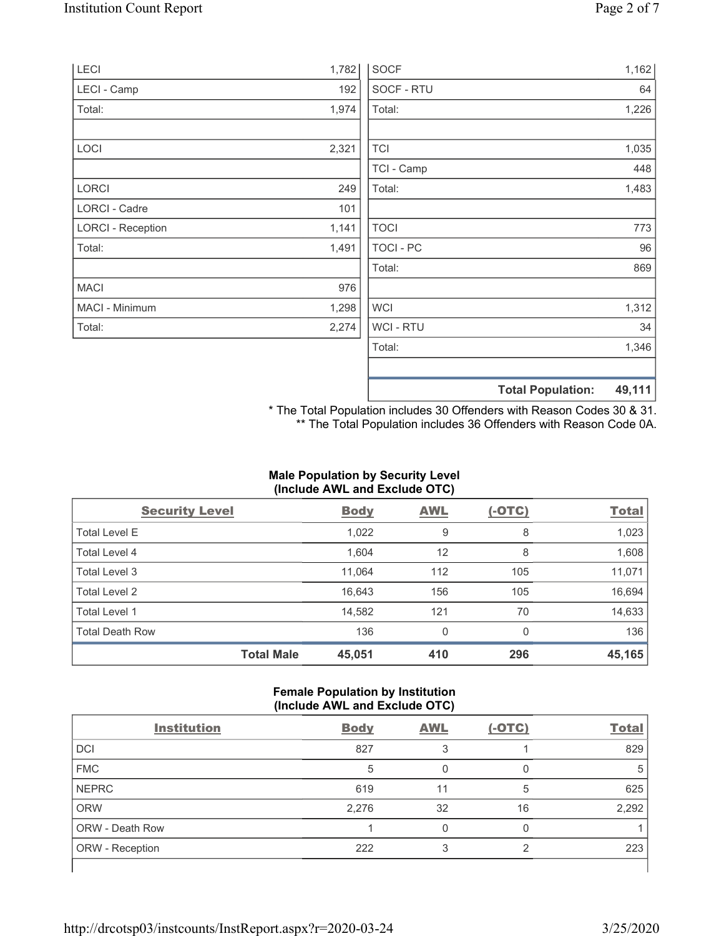| LECI                     | 1,782 | <b>SOCF</b>      | 1,162                              |
|--------------------------|-------|------------------|------------------------------------|
| LECI - Camp              | 192   | SOCF - RTU       | 64                                 |
| Total:                   | 1,974 | Total:           | 1,226                              |
|                          |       |                  |                                    |
| LOCI                     | 2,321 | <b>TCI</b>       | 1,035                              |
|                          |       | TCI - Camp       | 448                                |
| LORCI                    | 249   | Total:           | 1,483                              |
| <b>LORCI - Cadre</b>     | 101   |                  |                                    |
| <b>LORCI - Reception</b> | 1,141 | <b>TOCI</b>      | 773                                |
| Total:                   | 1,491 | <b>TOCI - PC</b> | 96                                 |
|                          |       | Total:           | 869                                |
| <b>MACI</b>              | 976   |                  |                                    |
| MACI - Minimum           | 1,298 | <b>WCI</b>       | 1,312                              |
| Total:                   | 2,274 | <b>WCI-RTU</b>   | 34                                 |
|                          |       | Total:           | 1,346                              |
|                          |       |                  | 49,111<br><b>Total Population:</b> |

\* The Total Population includes 30 Offenders with Reason Codes 30 & 31. \*\* The Total Population includes 36 Offenders with Reason Code 0A.

# **Male Population by Security Level (Include AWL and Exclude OTC)**

| <b>Security Level</b>  |                   | <b>Body</b> | <b>AWL</b> | $(-OTC)$ | <b>Total</b> |
|------------------------|-------------------|-------------|------------|----------|--------------|
| <b>Total Level E</b>   |                   | 1,022       | 9          | 8        | 1,023        |
| <b>Total Level 4</b>   |                   | 1,604       | 12         | 8        | 1,608        |
| Total Level 3          |                   | 11,064      | 112        | 105      | 11,071       |
| Total Level 2          |                   | 16,643      | 156        | 105      | 16,694       |
| Total Level 1          |                   | 14,582      | 121        | 70       | 14,633       |
| <b>Total Death Row</b> |                   | 136         | 0          | 0        | 136          |
|                        | <b>Total Male</b> | 45,051      | 410        | 296      | 45,165       |

# **Female Population by Institution (Include AWL and Exclude OTC)**

| <b>Institution</b>     | <b>Body</b> | <b>AWL</b> | $(-OTC)$ | <b>Total</b> |
|------------------------|-------------|------------|----------|--------------|
| <b>DCI</b>             | 827         |            |          | 829          |
| <b>FMC</b>             | 5           |            |          | 5            |
| <b>NEPRC</b>           | 619         | 11         | 5        | 625          |
| <b>ORW</b>             | 2,276       | 32         | 16       | 2,292        |
| <b>ORW - Death Row</b> |             |            |          |              |
| ORW - Reception        | 222         |            | ◠        | 223          |
|                        |             |            |          |              |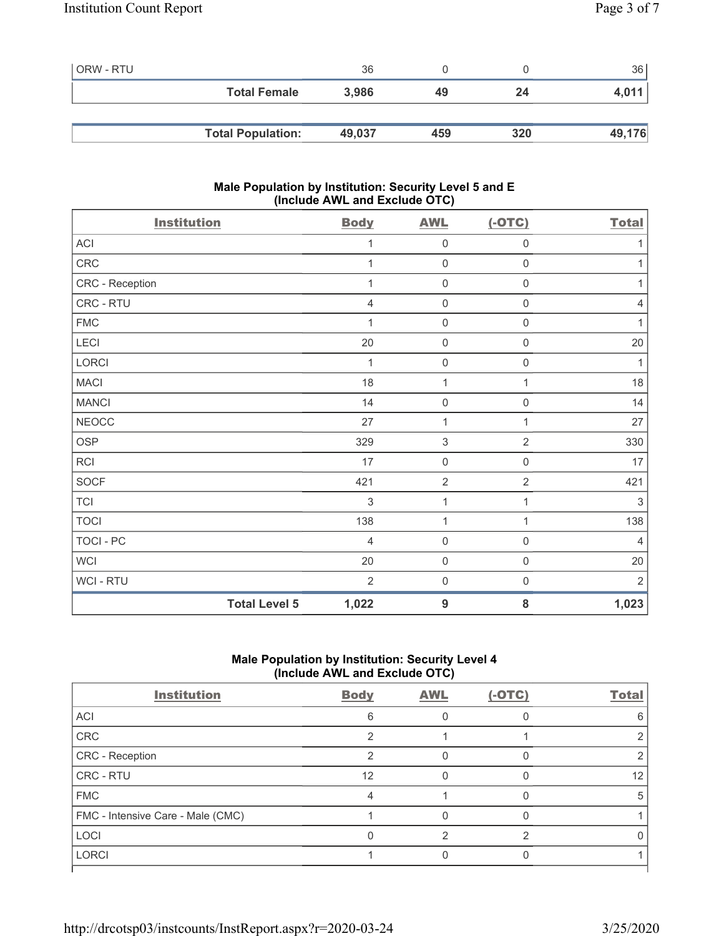| l ORW - RTU |                          | 36     |     |     | 36     |
|-------------|--------------------------|--------|-----|-----|--------|
|             | <b>Total Female</b>      | 3,986  | 49  | 24  | 4,011  |
|             |                          |        |     |     |        |
|             | <b>Total Population:</b> | 49,037 | 459 | 320 | 49,176 |

# **Male Population by Institution: Security Level 5 and E (Include AWL and Exclude OTC)**

| <b>Institution</b>   | <b>Body</b>    | <b>AWL</b>          | $(-OTC)$            | <b>Total</b>   |
|----------------------|----------------|---------------------|---------------------|----------------|
| ACI                  | 1              | $\mathbf 0$         | $\mathsf{O}\xspace$ | 1              |
| CRC                  | 1              | $\mathbf 0$         | $\mathsf 0$         | 1              |
| CRC - Reception      | 1              | $\mathsf{O}\xspace$ | 0                   | 1              |
| CRC - RTU            | 4              | $\mathsf{O}\xspace$ | 0                   | 4              |
| <b>FMC</b>           | 1              | $\mathsf{O}\xspace$ | $\mathsf{O}\xspace$ | 1              |
| LECI                 | 20             | $\mathsf{O}\xspace$ | $\mathsf{O}\xspace$ | 20             |
| LORCI                | 1              | $\mathsf{O}\xspace$ | $\mathsf{O}\xspace$ | 1              |
| <b>MACI</b>          | 18             | $\mathbf{1}$        | 1                   | 18             |
| <b>MANCI</b>         | 14             | $\mathsf{O}\xspace$ | 0                   | 14             |
| <b>NEOCC</b>         | 27             | 1                   | 1                   | 27             |
| <b>OSP</b>           | 329            | $\sqrt{3}$          | $\overline{2}$      | 330            |
| RCI                  | 17             | $\mathsf{O}\xspace$ | $\mathsf{O}\xspace$ | 17             |
| <b>SOCF</b>          | 421            | $\overline{2}$      | $\overline{2}$      | 421            |
| <b>TCI</b>           | 3              | $\mathbf{1}$        | 1                   | 3              |
| <b>TOCI</b>          | 138            | $\mathbf{1}$        | $\mathbf{1}$        | 138            |
| TOCI - PC            | $\overline{4}$ | $\mathbf 0$         | $\mathsf{O}\xspace$ | $\overline{4}$ |
| <b>WCI</b>           | 20             | $\mathsf{O}\xspace$ | $\mathbf 0$         | 20             |
| WCI - RTU            | $\overline{2}$ | $\mathsf{O}\xspace$ | $\boldsymbol{0}$    | $\overline{2}$ |
| <b>Total Level 5</b> | 1,022          | $9$                 | 8                   | 1,023          |

# **Male Population by Institution: Security Level 4 (Include AWL and Exclude OTC)**

| <b>Institution</b>                | <b>Body</b> | <b>AWL</b> | $(-OTC)$ | <b>Total</b> |
|-----------------------------------|-------------|------------|----------|--------------|
| ACI                               | 6           |            |          |              |
| CRC                               |             |            |          |              |
| CRC - Reception                   | ◠           |            |          |              |
| CRC - RTU                         | 12          |            |          | 12           |
| <b>FMC</b>                        |             |            |          | ٠h           |
| FMC - Intensive Care - Male (CMC) |             |            |          |              |
| <b>LOCI</b>                       |             |            | ⌒        |              |
| <b>LORCI</b>                      |             |            |          |              |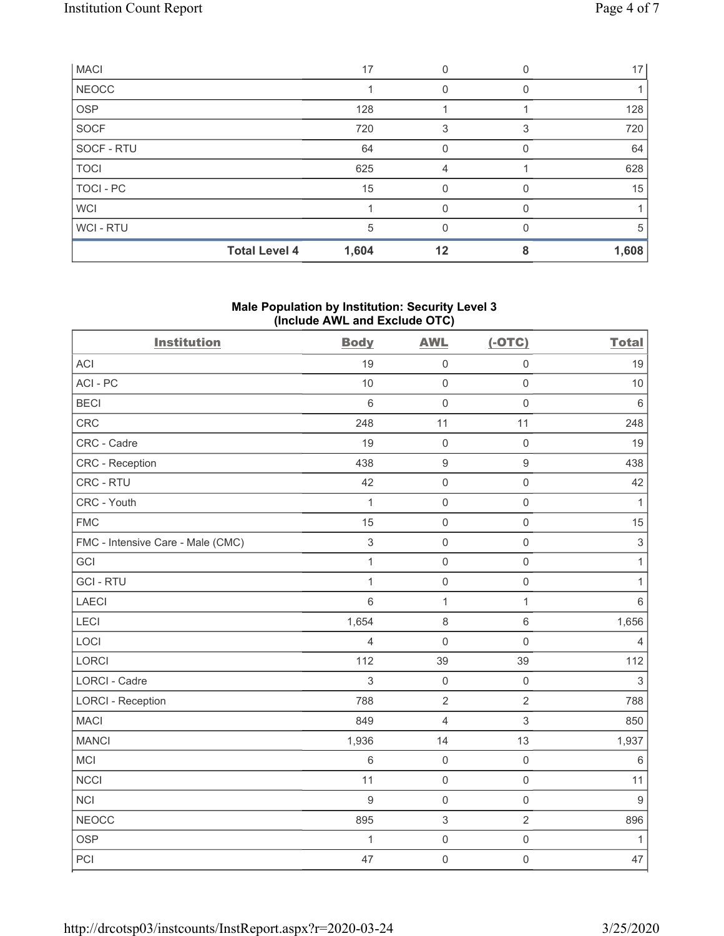| <b>MACI</b>  |                      | 17    |    |   | 17 <sup>1</sup> |
|--------------|----------------------|-------|----|---|-----------------|
| <b>NEOCC</b> |                      |       | 0  | 0 |                 |
| <b>OSP</b>   |                      | 128   |    |   | 128             |
| SOCF         |                      | 720   | 3  | 3 | 720             |
| SOCF - RTU   |                      | 64    | 0  |   | 64              |
| <b>TOCI</b>  |                      | 625   | 4  |   | 628             |
| TOCI - PC    |                      | 15    |    |   | 15              |
| <b>WCI</b>   |                      |       | O  |   |                 |
| WCI-RTU      |                      | 5     | U  |   | 5               |
|              | <b>Total Level 4</b> | 1,604 | 12 |   | 1,608           |

# **Male Population by Institution: Security Level 3 (Include AWL and Exclude OTC)**

| <b>Institution</b>                | <b>Body</b>    | <b>AWL</b>          | $(-OTC)$            | <b>Total</b>   |
|-----------------------------------|----------------|---------------------|---------------------|----------------|
| <b>ACI</b>                        | 19             | $\mathsf{O}\xspace$ | $\mathbf 0$         | 19             |
| ACI-PC                            | 10             | $\mathbf 0$         | $\mathsf{O}\xspace$ | 10             |
| <b>BECI</b>                       | $\,6\,$        | $\mathbf 0$         | $\mathsf{O}\xspace$ | $\,6\,$        |
| <b>CRC</b>                        | 248            | 11                  | 11                  | 248            |
| CRC - Cadre                       | 19             | $\mathsf{O}\xspace$ | $\mathsf{O}\xspace$ | 19             |
| CRC - Reception                   | 438            | $\boldsymbol{9}$    | $\boldsymbol{9}$    | 438            |
| CRC - RTU                         | 42             | $\mathsf{O}\xspace$ | $\mathsf{O}\xspace$ | 42             |
| CRC - Youth                       | $\mathbf{1}$   | $\mathbf 0$         | $\mathsf 0$         | 1              |
| <b>FMC</b>                        | 15             | $\mathbf 0$         | $\mathsf{O}\xspace$ | 15             |
| FMC - Intensive Care - Male (CMC) | 3              | $\mathbf 0$         | $\mathsf{O}\xspace$ | $\sqrt{3}$     |
| GCI                               | $\mathbf{1}$   | $\mathbf 0$         | $\mathsf{O}\xspace$ | $\mathbf{1}$   |
| <b>GCI-RTU</b>                    | $\mathbf{1}$   | $\mathsf{O}\xspace$ | $\mathbf 0$         | $\mathbf{1}$   |
| LAECI                             | $6\phantom{a}$ | $\mathbf{1}$        | $\mathbf 1$         | $6\,$          |
| LECI                              | 1,654          | 8                   | $6\,$               | 1,656          |
| LOCI                              | 4              | $\mathbf 0$         | $\mathbf 0$         | $\overline{4}$ |
| <b>LORCI</b>                      | 112            | 39                  | 39                  | 112            |
| <b>LORCI - Cadre</b>              | 3              | $\mathbf 0$         | $\mathsf{O}\xspace$ | $\mathfrak{S}$ |
| <b>LORCI - Reception</b>          | 788            | $\sqrt{2}$          | $\overline{2}$      | 788            |
| <b>MACI</b>                       | 849            | $\overline{4}$      | $\mathfrak{S}$      | 850            |
| <b>MANCI</b>                      | 1,936          | 14                  | 13                  | 1,937          |
| MCI                               | $\,6\,$        | $\mathbf 0$         | $\mathsf{O}\xspace$ | $\,6\,$        |
| <b>NCCI</b>                       | 11             | $\mathsf{O}$        | $\mathsf{O}\xspace$ | 11             |
| <b>NCI</b>                        | $\overline{9}$ | $\mathsf{O}\xspace$ | $\mathbf 0$         | $9\,$          |
| <b>NEOCC</b>                      | 895            | $\sqrt{3}$          | $\sqrt{2}$          | 896            |
| <b>OSP</b>                        | $\mathbf{1}$   | $\mathsf{O}$        | $\mathsf{O}\xspace$ | $\mathbf{1}$   |
| PCI                               | 47             | $\mathbf 0$         | $\mathsf{O}\xspace$ | 47             |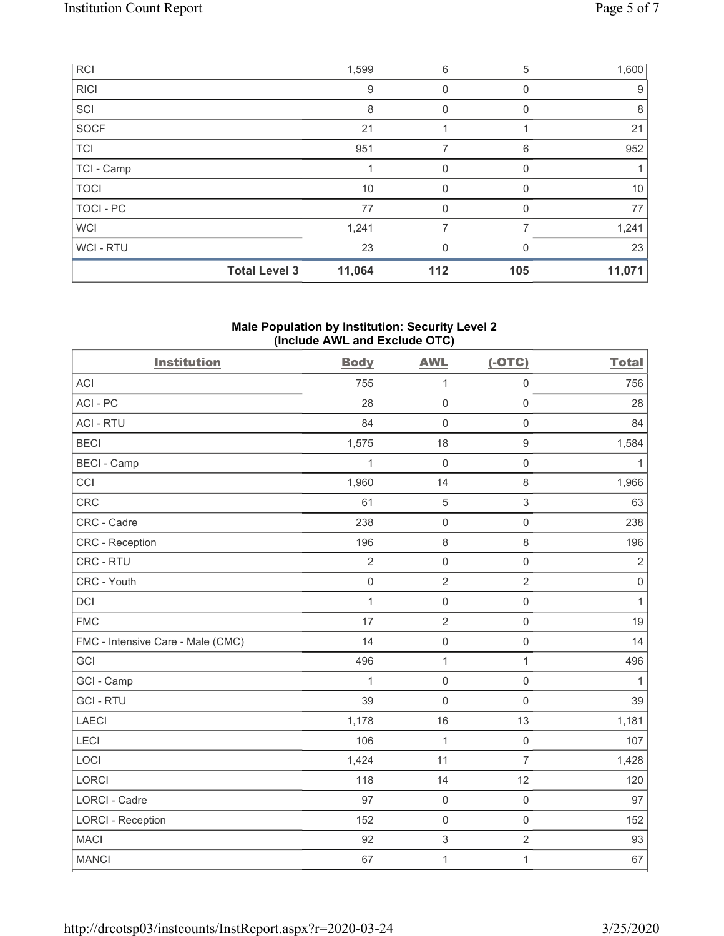|             | <b>Total Level 3</b> | 11,064 | 112 | 105 | 11,071 |
|-------------|----------------------|--------|-----|-----|--------|
| WCI-RTU     |                      | 23     | 0   |     | 23     |
| <b>WCI</b>  |                      | 1,241  | 7   |     | 1,241  |
| TOCI - PC   |                      | 77     | 0   |     | 77     |
| <b>TOCI</b> |                      | 10     | 0   |     | 10     |
| TCI - Camp  |                      |        | 0   | 0   |        |
| <b>TCI</b>  |                      | 951    | 7   | 6   | 952    |
| SOCF        |                      | 21     |     |     | 21     |
| SCI         |                      | 8      |     |     | 8      |
| <b>RICI</b> |                      | 9      | 0   | 0   | 9      |
| <b>RCI</b>  |                      | 1,599  | 6   | 5   | 1,600  |

# **Male Population by Institution: Security Level 2 (Include AWL and Exclude OTC)**

| <b>Institution</b>                | <b>Body</b>         | <b>AWL</b>                | $(-OTC)$            | <b>Total</b> |
|-----------------------------------|---------------------|---------------------------|---------------------|--------------|
| <b>ACI</b>                        | 755                 | $\mathbf{1}$              | $\mathsf{O}\xspace$ | 756          |
| ACI-PC                            | 28                  | $\mathsf{O}\xspace$       | $\mathsf{O}\xspace$ | 28           |
| <b>ACI - RTU</b>                  | 84                  | $\mathbf 0$               | $\mathbf 0$         | 84           |
| <b>BECI</b>                       | 1,575               | 18                        | $\boldsymbol{9}$    | 1,584        |
| <b>BECI - Camp</b>                | $\mathbf{1}$        | $\mathbf 0$               | $\mathsf{O}\xspace$ | $\mathbf{1}$ |
| CCI                               | 1,960               | 14                        | $\,8\,$             | 1,966        |
| CRC                               | 61                  | 5                         | $\mathfrak{S}$      | 63           |
| CRC - Cadre                       | 238                 | $\mathbf 0$               | $\mathsf{O}\xspace$ | 238          |
| <b>CRC</b> - Reception            | 196                 | $\,8\,$                   | $\,8\,$             | 196          |
| CRC - RTU                         | $\overline{2}$      | $\mathsf{O}\xspace$       | $\mathbf 0$         | $\sqrt{2}$   |
| CRC - Youth                       | $\mathsf{O}\xspace$ | $\sqrt{2}$                | $\sqrt{2}$          | $\,0\,$      |
| <b>DCI</b>                        | $\mathbf{1}$        | $\mathsf{O}\xspace$       | $\mathsf{O}\xspace$ | $\mathbf{1}$ |
| <b>FMC</b>                        | 17                  | $\sqrt{2}$                | $\mathsf{O}\xspace$ | 19           |
| FMC - Intensive Care - Male (CMC) | 14                  | $\mathsf{O}\xspace$       | $\mathsf{O}\xspace$ | 14           |
| GCI                               | 496                 | $\mathbf{1}$              | $\mathbf{1}$        | 496          |
| GCI - Camp                        | $\mathbf{1}$        | $\mathbf 0$               | $\mathsf{O}\xspace$ | $\mathbf{1}$ |
| <b>GCI-RTU</b>                    | 39                  | $\mathbf 0$               | $\mathbf 0$         | 39           |
| <b>LAECI</b>                      | 1,178               | 16                        | 13                  | 1,181        |
| LECI                              | 106                 | $\mathbf{1}$              | $\mathsf{O}\xspace$ | 107          |
| LOCI                              | 1,424               | 11                        | $\overline{7}$      | 1,428        |
| <b>LORCI</b>                      | 118                 | 14                        | 12                  | 120          |
| LORCI - Cadre                     | 97                  | $\mathsf{O}\xspace$       | $\mathsf 0$         | 97           |
| <b>LORCI - Reception</b>          | 152                 | $\mathbf 0$               | $\mathsf{O}\xspace$ | 152          |
| <b>MACI</b>                       | 92                  | $\ensuremath{\mathsf{3}}$ | $\sqrt{2}$          | 93           |
| <b>MANCI</b>                      | 67                  | $\mathbf 1$               | $\mathbf{1}$        | 67           |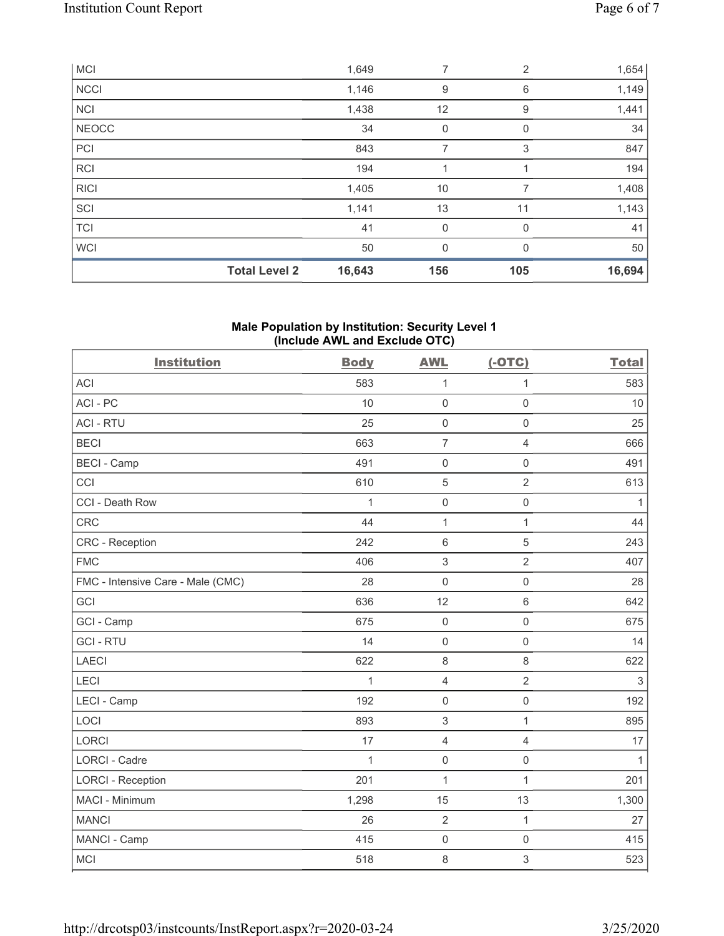|              | <b>Total Level 2</b> | 16,643 | 156         | 105         | 16,694 |
|--------------|----------------------|--------|-------------|-------------|--------|
| <b>WCI</b>   |                      | 50     | 0           | 0           | 50     |
| <b>TCI</b>   |                      | 41     | $\mathbf 0$ | $\Omega$    | 41     |
| SCI          |                      | 1,141  | 13          | 11          | 1,143  |
| <b>RICI</b>  |                      | 1,405  | 10          | 7           | 1,408  |
| <b>RCI</b>   |                      | 194    |             |             | 194    |
| PCI          |                      | 843    | 7           | 3           | 847    |
| <b>NEOCC</b> |                      | 34     | 0           | $\mathbf 0$ | 34     |
| <b>NCI</b>   |                      | 1,438  | 12          | 9           | 1,441  |
| <b>NCCI</b>  |                      | 1,146  | 9           | 6           | 1,149  |
| <b>MCI</b>   |                      | 1,649  | 7           | 2           | 1,654  |

# **Male Population by Institution: Security Level 1 (Include AWL and Exclude OTC)**

| <b>Institution</b>                | <b>Body</b>  | <b>AWL</b>          | $(-OTC)$            | <b>Total</b> |
|-----------------------------------|--------------|---------------------|---------------------|--------------|
| <b>ACI</b>                        | 583          | $\mathbf{1}$        | $\mathbf{1}$        | 583          |
| ACI-PC                            | 10           | $\mathsf{O}\xspace$ | $\mathbf 0$         | 10           |
| <b>ACI - RTU</b>                  | 25           | $\mathsf{O}\xspace$ | $\mathbf 0$         | 25           |
| <b>BECI</b>                       | 663          | $\overline{7}$      | 4                   | 666          |
| <b>BECI - Camp</b>                | 491          | $\mathsf 0$         | $\mathsf{O}\xspace$ | 491          |
| CCI                               | 610          | $\sqrt{5}$          | $\overline{2}$      | 613          |
| CCI - Death Row                   | 1            | $\mathsf{O}\xspace$ | $\mathsf{O}\xspace$ | $\mathbf{1}$ |
| <b>CRC</b>                        | 44           | $\mathbf{1}$        | $\mathbf{1}$        | 44           |
| <b>CRC</b> - Reception            | 242          | $6\phantom{1}$      | 5                   | 243          |
| <b>FMC</b>                        | 406          | $\mathfrak{S}$      | $\overline{2}$      | 407          |
| FMC - Intensive Care - Male (CMC) | 28           | $\mathbf 0$         | $\mathsf{O}\xspace$ | 28           |
| GCI                               | 636          | 12                  | $\,6\,$             | 642          |
| GCI - Camp                        | 675          | $\mathbf 0$         | $\mathbf 0$         | 675          |
| <b>GCI-RTU</b>                    | 14           | $\mathbf 0$         | $\mathsf 0$         | 14           |
| <b>LAECI</b>                      | 622          | 8                   | 8                   | 622          |
| LECI                              | $\mathbf{1}$ | $\overline{4}$      | $\overline{2}$      | $\sqrt{3}$   |
| LECI - Camp                       | 192          | $\mathbf 0$         | $\mathsf 0$         | 192          |
| LOCI                              | 893          | $\,$ 3 $\,$         | $\mathbf{1}$        | 895          |
| <b>LORCI</b>                      | 17           | $\overline{4}$      | $\overline{4}$      | 17           |
| <b>LORCI - Cadre</b>              | 1            | $\mathbf 0$         | $\mathsf 0$         | $\mathbf{1}$ |
| <b>LORCI - Reception</b>          | 201          | $\mathbf{1}$        | $\mathbf{1}$        | 201          |
| MACI - Minimum                    | 1,298        | 15                  | 13                  | 1,300        |
| <b>MANCI</b>                      | 26           | $\overline{2}$      | $\mathbf{1}$        | 27           |
| MANCI - Camp                      | 415          | $\mathbf 0$         | $\mathbf 0$         | 415          |
| <b>MCI</b>                        | 518          | $\,8\,$             | 3                   | 523          |